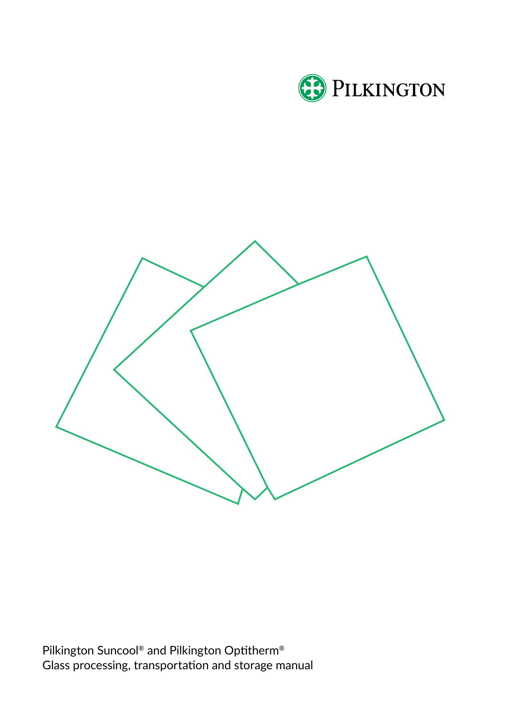



Pilkington Suncool® and Pilkington Optitherm® Glass processing, transportation and storage manual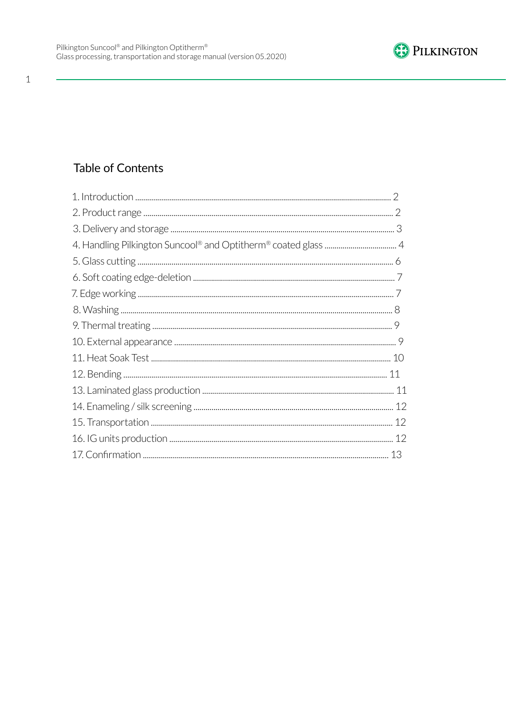

#### $\mathbf{1}$

# Table of Contents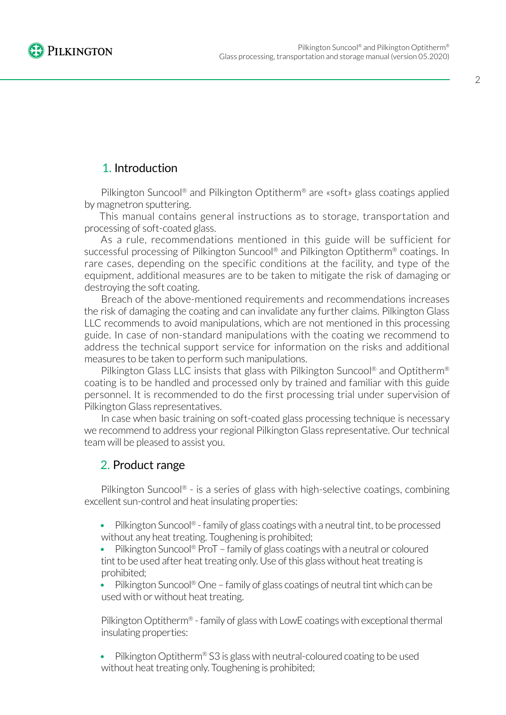

## 1. Introduction

Pilkington Suncool® and Pilkington Optitherm® are «soft» glass coatings applied by magnetron sputtering.

This manual contains general instructions as to storage, transportation and processing of soft-coated glass.

As a rule, recommendations mentioned in this guide will be sufficient for successful processing of Pilkington Suncool<sup>®</sup> and Pilkington Optitherm<sup>®</sup> coatings. In rare cases, depending on the specific conditions at the facility, and type of the equipment, additional measures are to be taken to mitigate the risk of damaging or destroying the soft coating.

Breach of the above-mentioned requirements and recommendations increases the risk of damaging the coating and can invalidate any further claims. Pilkington Glass LLC recommends to avoid manipulations, which are not mentioned in this processing guide. In case of non-standard manipulations with the coating we recommend to address the technical support service for information on the risks and additional measures to be taken to perform such manipulations.

Pilkington Glass LLC insists that glass with Pilkington Suncool® and Optitherm® coating is to be handled and processed only by trained and familiar with this guide personnel. It is recommended to do the first processing trial under supervision of Pilkington Glass representatives.

In case when basic training on soft-coated glass processing technique is necessary we recommend to address your regional Pilkington Glass representative. Our technical team will be pleased to assist you.

## 2. Product range

Pilkington Suncool® - is a series of glass with high-selective coatings, combining excellent sun-control and heat insulating properties:

• Pilkington Suncool® - family of glass coatings with a neutral tint, to be processed without any heat treating. Toughening is prohibited;

Pilkington Suncool® ProT – family of glass coatings with a neutral or coloured tint to be used after heat treating only. Use of this glass without heat treating is prohibited;

Pilkington Suncool® One – family of glass coatings of neutral tint which can be used with or without heat treating.

Pilkington Optitherm® - family of glass with LowE coatings with exceptional thermal insulating properties:

• Pilkington Optitherm® S3 is glass with neutral-coloured coating to be used without heat treating only. Toughening is prohibited;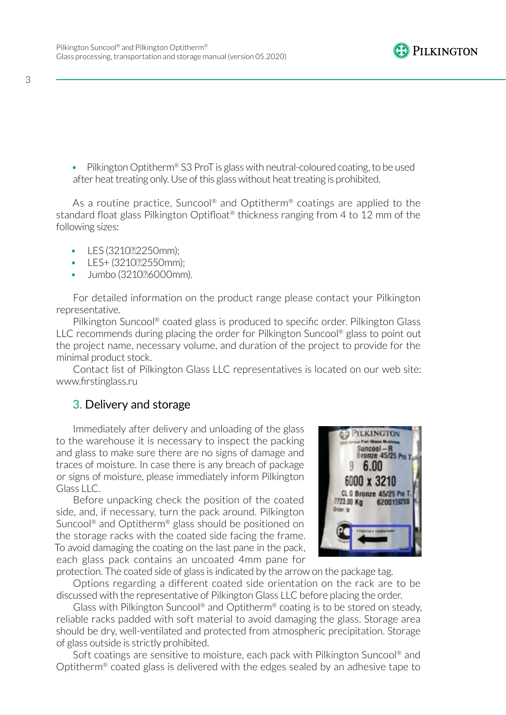

3

• Pilkington Optitherm® S3 ProT is glass with neutral-coloured coating, to be used after heat treating only. Use of this glass without heat treating is prohibited.

As a routine practice, Suncool<sup>®</sup> and Optitherm<sup>®</sup> coatings are applied to the standard float glass Pilkington Optifloat<sup>®</sup> thickness ranging from 4 to 12 mm of the following sizes:

- LES (3210??2250mm);
- LES+ (321022550mm);
- Jumbo (321036000mm).

For detailed information on the product range please contact your Pilkington representative.

Pilkington Suncool® coated glass is produced to specific order. Pilkington Glass LLC recommends during placing the order for Pilkington Suncool® glass to point out the project name, necessary volume, and duration of the project to provide for the minimal product stock.

Contact list of Pilkington Glass LLC representatives is located on our web site: www.firstinglass.ru

## 3. Delivery and storage

Immediately after delivery and unloading of the glass to the warehouse it is necessary to inspect the packing and glass to make sure there are no signs of damage and traces of moisture. In case there is any breach of package or signs of moisture, please immediately inform Pilkington  $Glass H.C.$ 

Before unpacking check the position of the coated side, and, if necessary, turn the pack around. Pilkington Suncool® and Optitherm® glass should be positioned on the storage racks with the coated side facing the frame. To avoid damaging the coating on the last pane in the pack, each glass pack contains an uncoated 4mm pane for



protection. The coated side of glass is indicated by the arrow on the package tag.

Options regarding a different coated side orientation on the rack are to be discussed with the representative of Pilkington Glass LLC before placing the order.

Glass with Pilkington Suncool® and Optitherm® coating is to be stored on steady, reliable racks padded with soft material to avoid damaging the glass. Storage area should be dry, well-ventilated and protected from atmospheric precipitation. Storage of glass outside is strictly prohibited.

Soft coatings are sensitive to moisture, each pack with Pilkington Suncool® and Optitherm® coated glass is delivered with the edges sealed by an adhesive tape to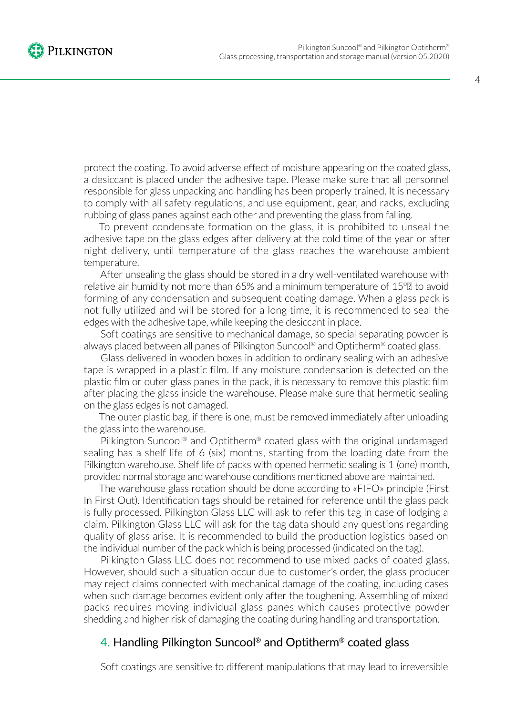

protect the coating. To avoid adverse effect of moisture appearing on the coated glass, a desiccant is placed under the adhesive tape. Please make sure that all personnel responsible for glass unpacking and handling has been properly trained. It is necessary to comply with all safety regulations, and use equipment, gear, and racks, excluding rubbing of glass panes against each other and preventing the glass from falling.

To prevent condensate formation on the glass, it is prohibited to unseal the adhesive tape on the glass edges after delivery at the cold time of the year or after night delivery, until temperature of the glass reaches the warehouse ambient temperature.

After unsealing the glass should be stored in a dry well-ventilated warehouse with relative air humidity not more than 65% and a minimum temperature of 15°<sup>n</sup> to avoid forming of any condensation and subsequent coating damage. When a glass pack is not fully utilized and will be stored for a long time, it is recommended to seal the edges with the adhesive tape, while keeping the desiccant in place.

Soft coatings are sensitive to mechanical damage, so special separating powder is always placed between all panes of Pilkington Suncool® and Optitherm® coated glass.

Glass delivered in wooden boxes in addition to ordinary sealing with an adhesive tape is wrapped in a plastic film. If any moisture condensation is detected on the plastic film or outer glass panes in the pack, it is necessary to remove this plastic film after placing the glass inside the warehouse. Please make sure that hermetic sealing on the glass edges is not damaged.

The outer plastic bag, if there is one, must be removed immediately after unloading the glass into the warehouse.

Pilkington Suncool® and Optitherm® coated glass with the original undamaged sealing has a shelf life of 6 (six) months, starting from the loading date from the Pilkington warehouse. Shelf life of packs with opened hermetic sealing is 1 (one) month, provided normal storage and warehouse conditions mentioned above are maintained.

The warehouse glass rotation should be done according to «FIFO» principle (First In First Out). Identification tags should be retained for reference until the glass pack is fully processed. Pilkington Glass LLC will ask to refer this tag in case of lodging a claim. Pilkington Glass LLC will ask for the tag data should any questions regarding quality of glass arise. It is recommended to build the production logistics based on the individual number of the pack which is being processed (indicated on the tag).

Pilkington Glass LLC does not recommend to use mixed packs of coated glass. However, should such a situation occur due to customer's order, the glass producer may reject claims connected with mechanical damage of the coating, including cases when such damage becomes evident only after the toughening. Assembling of mixed packs requires moving individual glass panes which causes protective powder shedding and higher risk of damaging the coating during handling and transportation.

## 4. Handling Pilkington Suncool® and Optitherm® coated glass

Soft coatings are sensitive to different manipulations that may lead to irreversible

4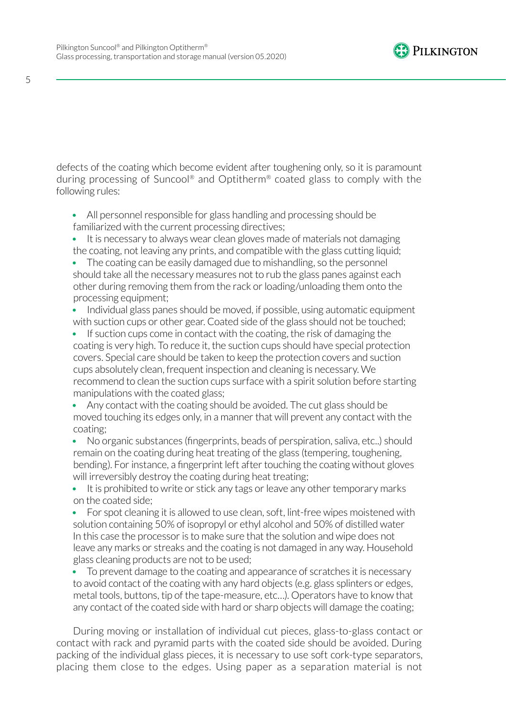

defects of the coating which become evident after toughening only, so it is paramount during processing of Suncool® and Optitherm® coated glass to comply with the following rules:

- All personnel responsible for glass handling and processing should be familiarized with the current processing directives;
- It is necessary to always wear clean gloves made of materials not damaging the coating, not leaving any prints, and compatible with the glass cutting liquid;
- The coating can be easily damaged due to mishandling, so the personnel should take all the necessary measures not to rub the glass panes against each other during removing them from the rack or loading/unloading them onto the processing equipment;
- Individual glass panes should be moved, if possible, using automatic equipment with suction cups or other gear. Coated side of the glass should not be touched;
- If suction cups come in contact with the coating, the risk of damaging the coating is very high. To reduce it, the suction cups should have special protection covers. Special care should be taken to keep the protection covers and suction cups absolutely clean, frequent inspection and cleaning is necessary. We recommend to clean the suction cups surface with a spirit solution before starting manipulations with the coated glass;
- Any contact with the coating should be avoided. The cut glass should be moved touching its edges only, in a manner that will prevent any contact with the coating;
- No organic substances (fingerprints, beads of perspiration, saliva, etc..) should remain on the coating during heat treating of the glass (tempering, toughening, bending). For instance, a fingerprint left after touching the coating without gloves will irreversibly destroy the coating during heat treating;
- It is prohibited to write or stick any tags or leave any other temporary marks on the coated side;
- For spot cleaning it is allowed to use clean, soft, lint-free wipes moistened with solution containing 50% of isopropyl or ethyl alcohol and 50% of distilled water In this case the processor is to make sure that the solution and wipe does not leave any marks or streaks and the coating is not damaged in any way. Household glass cleaning products are not to be used;
- To prevent damage to the coating and appearance of scratches it is necessary to avoid contact of the coating with any hard objects (e.g. glass splinters or edges, metal tools, buttons, tip of the tape-measure, etc…). Operators have to know that any contact of the coated side with hard or sharp objects will damage the coating;

During moving or installation of individual cut pieces, glass-to-glass contact or contact with rack and pyramid parts with the coated side should be avoided. During packing of the individual glass pieces, it is necessary to use soft cork-type separators, placing them close to the edges. Using paper as a separation material is not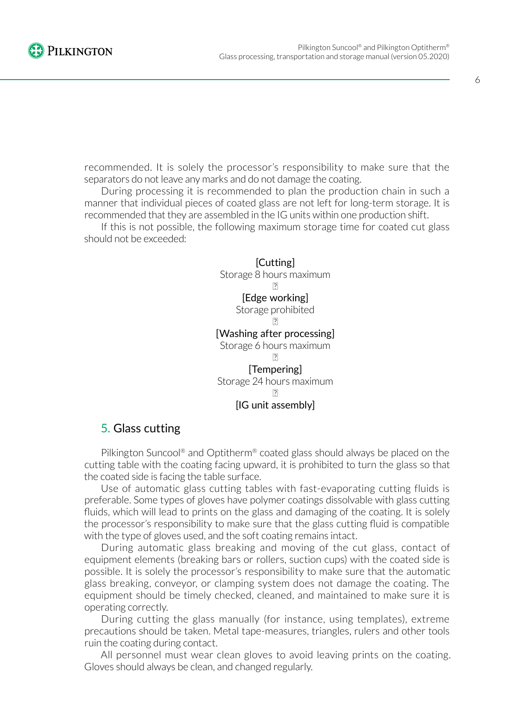

recommended. It is solely the processor's responsibility to make sure that the separators do not leave any marks and do not damage the coating.

During processing it is recommended to plan the production chain in such a manner that individual pieces of coated glass are not left for long-term storage. It is recommended that they are assembled in the IG units within one production shift.

If this is not possible, the following maximum storage time for coated cut glass should not be exceeded:

> [Cutting] Storage 8 hours maximum **?** [Edge working] Storage prohibited **?** [Washing after processing] Storage 6 hours maximum **?** [Tempering]

Storage 24 hours maximum

#### [IG unit assembly]

#### 5. Glass cutting

Pilkington Suncool® and Optitherm® coated glass should always be placed on the cutting table with the coating facing upward, it is prohibited to turn the glass so that the coated side is facing the table surface.

Use of automatic glass cutting tables with fast-evaporating cutting fluids is preferable. Some types of gloves have polymer coatings dissolvable with glass cutting fluids, which will lead to prints on the glass and damaging of the coating. It is solely the processor's responsibility to make sure that the glass cutting fluid is compatible with the type of gloves used, and the soft coating remains intact.

During automatic glass breaking and moving of the cut glass, contact of equipment elements (breaking bars or rollers, suction cups) with the coated side is possible. It is solely the processor's responsibility to make sure that the automatic glass breaking, conveyor, or clamping system does not damage the coating. The equipment should be timely checked, cleaned, and maintained to make sure it is operating correctly.

During cutting the glass manually (for instance, using templates), extreme precautions should be taken. Metal tape-measures, triangles, rulers and other tools ruin the coating during contact.

All personnel must wear clean gloves to avoid leaving prints on the coating. Gloves should always be clean, and changed regularly.

 $|2|$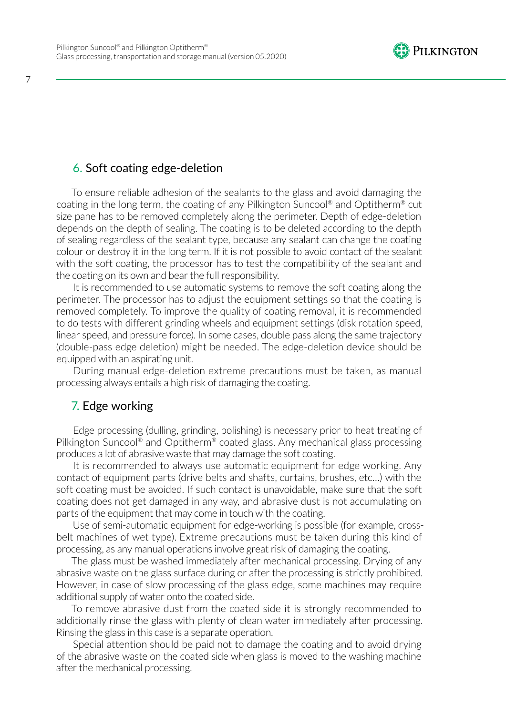

## 6. Soft coating edge-deletion

To ensure reliable adhesion of the sealants to the glass and avoid damaging the coating in the long term, the coating of any Pilkington Suncool® and Optitherm® cut size pane has to be removed completely along the perimeter. Depth of edge-deletion depends on the depth of sealing. The coating is to be deleted according to the depth of sealing regardless of the sealant type, because any sealant can change the coating colour or destroy it in the long term. If it is not possible to avoid contact of the sealant with the soft coating, the processor has to test the compatibility of the sealant and the coating on its own and bear the full responsibility.

It is recommended to use automatic systems to remove the soft coating along the perimeter. The processor has to adjust the equipment settings so that the coating is removed completely. To improve the quality of coating removal, it is recommended to do tests with different grinding wheels and equipment settings (disk rotation speed, linear speed, and pressure force). In some cases, double pass along the same trajectory (double-pass edge deletion) might be needed. The edge-deletion device should be equipped with an aspirating unit.

During manual edge-deletion extreme precautions must be taken, as manual processing always entails a high risk of damaging the coating.

#### 7. Edge working

Edge processing (dulling, grinding, polishing) is necessary prior to heat treating of Pilkington Suncool® and Optitherm® coated glass. Any mechanical glass processing produces a lot of abrasive waste that may damage the soft coating.

It is recommended to always use automatic equipment for edge working. Any contact of equipment parts (drive belts and shafts, curtains, brushes, etc…) with the soft coating must be avoided. If such contact is unavoidable, make sure that the soft coating does not get damaged in any way, and abrasive dust is not accumulating on parts of the equipment that may come in touch with the coating.

Use of semi-automatic equipment for edge-working is possible (for example, crossbelt machines of wet type). Extreme precautions must be taken during this kind of processing, as any manual operations involve great risk of damaging the coating.

The glass must be washed immediately after mechanical processing. Drying of any abrasive waste on the glass surface during or after the processing is strictly prohibited. However, in case of slow processing of the glass edge, some machines may require additional supply of water onto the coated side.

To remove abrasive dust from the coated side it is strongly recommended to additionally rinse the glass with plenty of clean water immediately after processing. Rinsing the glass in this case is a separate operation.

Special attention should be paid not to damage the coating and to avoid drying of the abrasive waste on the coated side when glass is moved to the washing machine after the mechanical processing.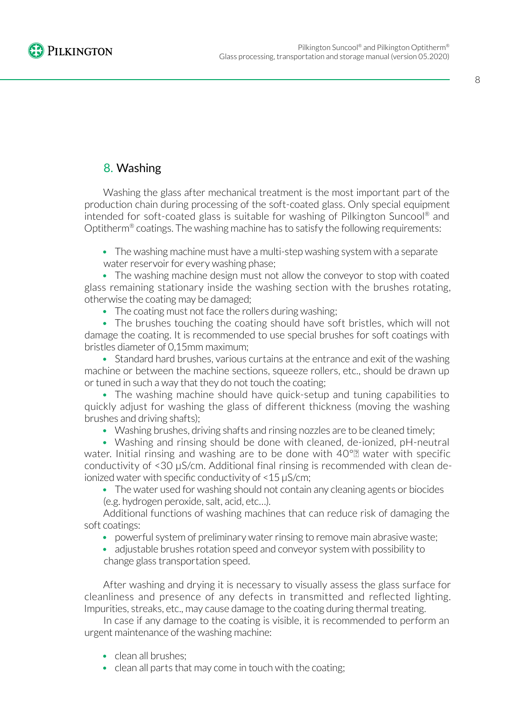

## 8. Washing

Washing the glass after mechanical treatment is the most important part of the production chain during processing of the soft-coated glass. Only special equipment intended for soft-coated glass is suitable for washing of Pilkington Suncool® and Optitherm® coatings. The washing machine has to satisfy the following requirements:

• The washing machine must have a multi-step washing system with a separate water reservoir for every washing phase;

• The washing machine design must not allow the conveyor to stop with coated glass remaining stationary inside the washing section with the brushes rotating, otherwise the coating may be damaged;

• The coating must not face the rollers during washing:

• The brushes touching the coating should have soft bristles, which will not damage the coating. It is recommended to use special brushes for soft coatings with bristles diameter of 0,15mm maximum;

• Standard hard brushes, various curtains at the entrance and exit of the washing machine or between the machine sections, squeeze rollers, etc., should be drawn up or tuned in such a way that they do not touch the coating;

• The washing machine should have quick-setup and tuning capabilities to quickly adjust for washing the glass of different thickness (moving the washing brushes and driving shafts);

• Washing brushes, driving shafts and rinsing nozzles are to be cleaned timely;

• Washing and rinsing should be done with cleaned, de-ionized, pH-neutral water. Initial rinsing and washing are to be done with 40°<sup>®</sup> water with specific conductivity of <30 μS/cm. Additional final rinsing is recommended with clean deionized water with specific conductivity of <15 μS/cm;

• The water used for washing should not contain any cleaning agents or biocides (e.g. hydrogen peroxide, salt, acid, etc…).

Additional functions of washing machines that can reduce risk of damaging the soft coatings:

- powerful system of preliminary water rinsing to remove main abrasive waste;
- adjustable brushes rotation speed and conveyor system with possibility to change glass transportation speed.

After washing and drying it is necessary to visually assess the glass surface for cleanliness and presence of any defects in transmitted and reflected lighting. Impurities, streaks, etc., may cause damage to the coating during thermal treating.

In case if any damage to the coating is visible, it is recommended to perform an urgent maintenance of the washing machine:

- clean all brushes:
- clean all parts that may come in touch with the coating;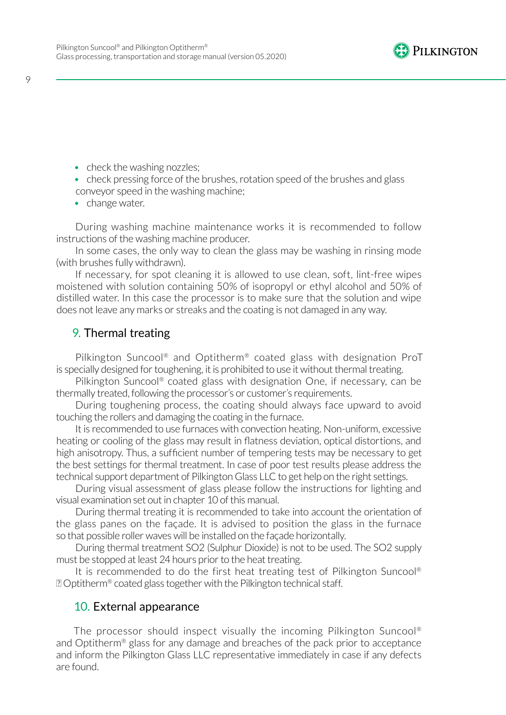

- check the washing nozzles;
- check pressing force of the brushes, rotation speed of the brushes and glass conveyor speed in the washing machine;
- change water.

During washing machine maintenance works it is recommended to follow instructions of the washing machine producer.

In some cases, the only way to clean the glass may be washing in rinsing mode (with brushes fully withdrawn).

If necessary, for spot cleaning it is allowed to use clean, soft, lint-free wipes moistened with solution containing 50% of isopropyl or ethyl alcohol and 50% of distilled water. In this case the processor is to make sure that the solution and wipe does not leave any marks or streaks and the coating is not damaged in any way.

#### 9. Thermal treating

Pilkington Suncool® and Optitherm® coated glass with designation ProT is specially designed for toughening, it is prohibited to use it without thermal treating.

Pilkington Suncool® coated glass with designation One, if necessary, can be thermally treated, following the processor's or customer's requirements.

During toughening process, the coating should always face upward to avoid touching the rollers and damaging the coating in the furnace.

It is recommended to use furnaces with convection heating. Non-uniform, excessive heating or cooling of the glass may result in flatness deviation, optical distortions, and high anisotropy. Thus, a sufficient number of tempering tests may be necessary to get the best settings for thermal treatment. In case of poor test results please address the technical support department of Pilkington Glass LLC to get help on the right settings.

During visual assessment of glass please follow the instructions for lighting and visual examination set out in chapter 10 of this manual.

During thermal treating it is recommended to take into account the orientation of the glass panes on the façade. It is advised to position the glass in the furnace so that possible roller waves will be installed on the façade horizontally.

During thermal treatment SO2 (Sulphur Dioxide) is not to be used. The SO2 supply must be stopped at least 24 hours prior to the heat treating.

It is recommended to do the first heat treating test of Pilkington Suncool® **D** Optitherm<sup>®</sup> coated glass together with the Pilkington technical staff.

#### 10. External appearance

The processor should inspect visually the incoming Pilkington Suncool® and Optitherm® glass for any damage and breaches of the pack prior to acceptance and inform the Pilkington Glass LLC representative immediately in case if any defects are found.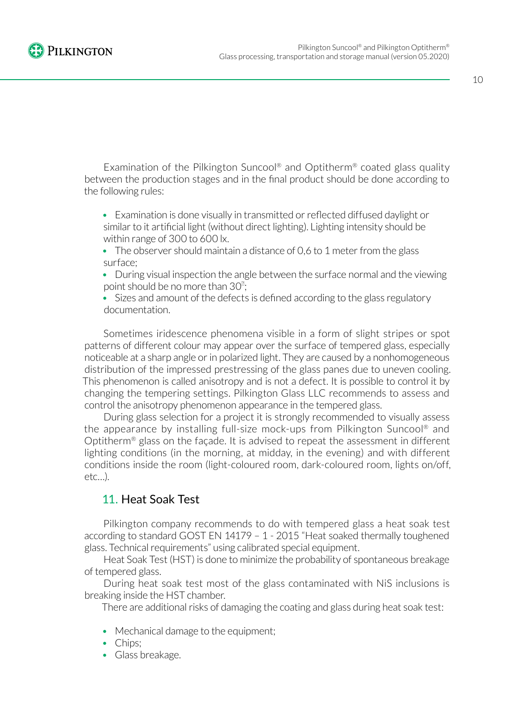

Examination of the Pilkington Suncool® and Optitherm® coated glass quality between the production stages and in the final product should be done according to the following rules:

- Examination is done visually in transmitted or reflected diffused daylight or similar to it artificial light (without direct lighting). Lighting intensity should be within range of 300 to 600 lx.
- The observer should maintain a distance of 0.6 to 1 meter from the glass surface;
- During visual inspection the angle between the surface normal and the viewing point should be no more than  $30^{\circ}$ ;
- Sizes and amount of the defects is defined according to the glass regulatory documentation.

Sometimes iridescence phenomena visible in a form of slight stripes or spot patterns of different colour may appear over the surface of tempered glass, especially noticeable at a sharp angle or in polarized light. They are caused by a nonhomogeneous distribution of the impressed prestressing of the glass panes due to uneven cooling. This phenomenon is called anisotropy and is not a defect. It is possible to control it by changing the tempering settings. Pilkington Glass LLC recommends to assess and control the anisotropy phenomenon appearance in the tempered glass.

During glass selection for a project it is strongly recommended to visually assess the appearance by installing full-size mock-ups from Pilkington Suncool® and Optitherm® glass on the façade. It is advised to repeat the assessment in different lighting conditions (in the morning, at midday, in the evening) and with different conditions inside the room (light-coloured room, dark-coloured room, lights on/off, etc…).

## 11. Heat Soak Test

Pilkington company recommends to do with tempered glass a heat soak test according to standard GOST EN 14179 – 1 - 2015 "Heat soaked thermally toughened glass. Technical requirements" using calibrated special equipment.

Heat Soak Test (HST) is done to minimize the probability of spontaneous breakage of tempered glass.

During heat soak test most of the glass contaminated with NiS inclusions is breaking inside the HST chamber.

There are additional risks of damaging the coating and glass during heat soak test:

- Mechanical damage to the equipment;
- Chips;
- Glass breakage.

10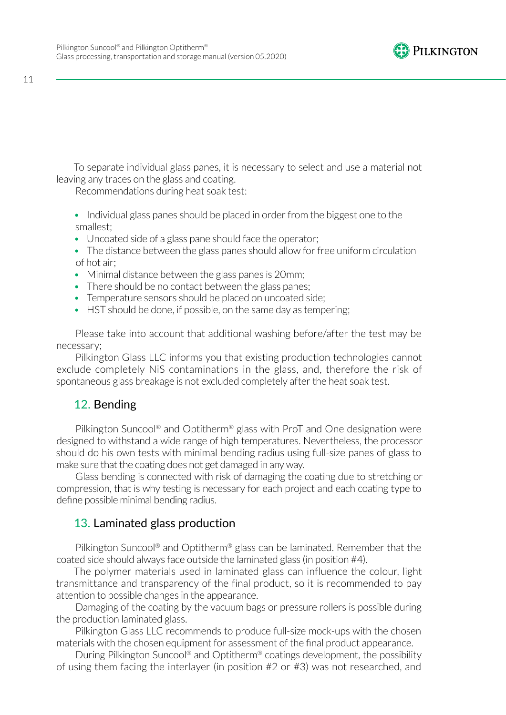

11

To separate individual glass panes, it is necessary to select and use a material not leaving any traces on the glass and coating.

Recommendations during heat soak test:

- Individual glass panes should be placed in order from the biggest one to the smallest;
- Uncoated side of a glass pane should face the operator;
- The distance between the glass panes should allow for free uniform circulation of hot air;
- Minimal distance between the glass panes is 20mm;
- There should be no contact between the glass panes;
- Temperature sensors should be placed on uncoated side;
- HST should be done, if possible, on the same day as tempering;

Please take into account that additional washing before/after the test may be necessary;

Pilkington Glass LLC informs you that existing production technologies cannot exclude completely NiS contaminations in the glass, and, therefore the risk of spontaneous glass breakage is not excluded completely after the heat soak test.

## 12. Bending

Pilkington Suncool<sup>®</sup> and Optitherm<sup>®</sup> glass with ProT and One designation were designed to withstand a wide range of high temperatures. Nevertheless, the processor should do his own tests with minimal bending radius using full-size panes of glass to make sure that the coating does not get damaged in any way.

Glass bending is connected with risk of damaging the coating due to stretching or compression, that is why testing is necessary for each project and each coating type to define possible minimal bending radius.

## 13. Laminated glass production

Pilkington Suncool® and Optitherm® glass can be laminated. Remember that the coated side should always face outside the laminated glass (in position #4).

The polymer materials used in laminated glass can influence the colour, light transmittance and transparency of the final product, so it is recommended to pay attention to possible changes in the appearance.

Damaging of the coating by the vacuum bags or pressure rollers is possible during the production laminated glass.

Pilkington Glass LLC recommends to produce full-size mock-ups with the chosen materials with the chosen equipment for assessment of the final product appearance.

During Pilkington Suncool® and Optitherm® coatings development, the possibility of using them facing the interlayer (in position #2 or #3) was not researched, and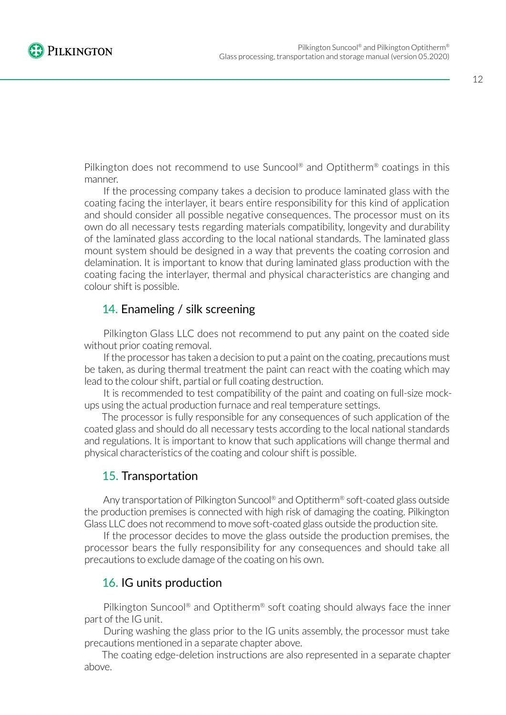12

Pilkington does not recommend to use Suncool® and Optitherm® coatings in this manner.

If the processing company takes a decision to produce laminated glass with the coating facing the interlayer, it bears entire responsibility for this kind of application and should consider all possible negative consequences. The processor must on its own do all necessary tests regarding materials compatibility, longevity and durability of the laminated glass according to the local national standards. The laminated glass mount system should be designed in a way that prevents the coating corrosion and delamination. It is important to know that during laminated glass production with the coating facing the interlayer, thermal and physical characteristics are changing and colour shift is possible.

## 14. Enameling / silk screening

Pilkington Glass LLC does not recommend to put any paint on the coated side without prior coating removal.

If the processor has taken a decision to put a paint on the coating, precautions must be taken, as during thermal treatment the paint can react with the coating which may lead to the colour shift, partial or full coating destruction.

It is recommended to test compatibility of the paint and coating on full-size mockups using the actual production furnace and real temperature settings.

The processor is fully responsible for any consequences of such application of the coated glass and should do all necessary tests according to the local national standards and regulations. It is important to know that such applications will change thermal and physical characteristics of the coating and colour shift is possible.

## 15. Transportation

Any transportation of Pilkington Suncool® and Optitherm® soft-coated glass outside the production premises is connected with high risk of damaging the coating. Pilkington Glass LLC does not recommend to move soft-coated glass outside the production site.

If the processor decides to move the glass outside the production premises, the processor bears the fully responsibility for any consequences and should take all precautions to exclude damage of the coating on his own.

## 16. IG units production

Pilkington Suncool® and Optitherm® soft coating should always face the inner part of the IG unit.

During washing the glass prior to the IG units assembly, the processor must take precautions mentioned in a separate chapter above.

The coating edge-deletion instructions are also represented in a separate chapter above.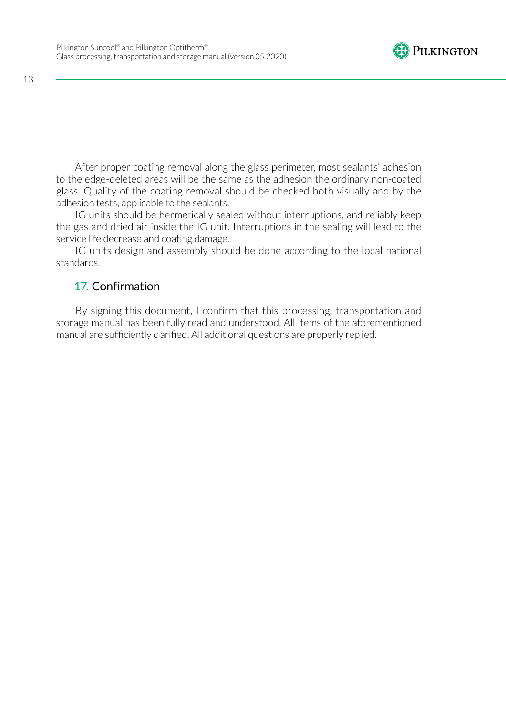

After proper coating removal along the glass perimeter, most sealants' adhesion to the edge-deleted areas will be the same as the adhesion the ordinary non-coated glass. Quality of the coating removal should be checked both visually and by the adhesion tests, applicable to the sealants.

IG units should be hermetically sealed without interruptions, and reliably keep the gas and dried air inside the IG unit. Interruptions in the sealing will lead to the service life decrease and coating damage.

IG units design and assembly should be done according to the local national standards.

## 17. Confirmation

By signing this document, I confirm that this processing, transportation and storage manual has been fully read and understood. All items of the aforementioned manual are sufficiently clarified. All additional questions are properly replied.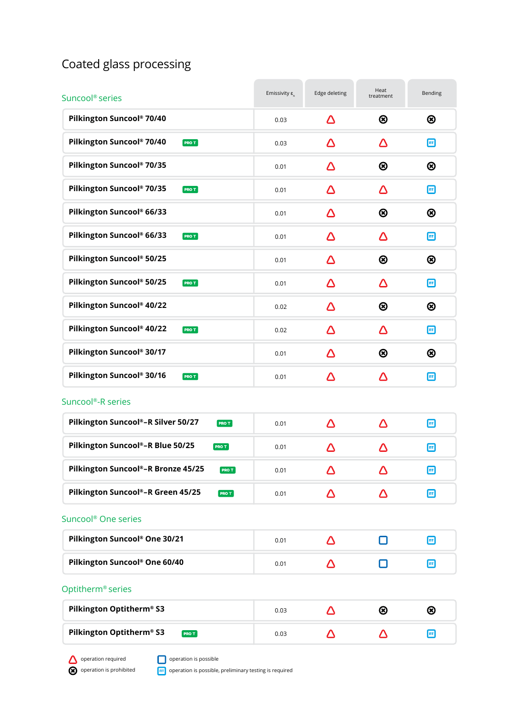# Coated glass processing

| Suncool <sup>®</sup> series                       | Emissivity $\varepsilon_{n}$ | Edge deleting | Heat<br>treatment | Bending |
|---------------------------------------------------|------------------------------|---------------|-------------------|---------|
| Pilkington Suncool® 70/40                         | 0.03                         | Δ             | ⊛                 | ⊛       |
| Pilkington Suncool® 70/40<br><b>PROT</b>          | 0.03                         | Δ             | Δ                 | $\Box$  |
| Pilkington Suncool® 70/35                         | 0.01                         | Δ             | ⊗                 | ⊛       |
| Pilkington Suncool® 70/35<br>PRO T                | 0.01                         | Δ             | Δ                 | ⊡       |
| Pilkington Suncool® 66/33                         | 0.01                         | Δ             | ⊗                 | ⊛       |
| Pilkington Suncool® 66/33<br><b>PROT</b>          | 0.01                         | Δ             | Δ                 | ⊡       |
| Pilkington Suncool® 50/25                         | 0.01                         | Δ             | ⊗                 | ⊗       |
| Pilkington Suncool® 50/25<br><b>PROT</b>          | 0.01                         | Δ             | Δ                 | ⊡       |
| Pilkington Suncool® 40/22                         | 0.02                         | Δ             | ⊗                 | ⊛       |
| Pilkington Suncool® 40/22<br><b>PROT</b>          | 0.02                         | Δ             | Δ                 | ⊡       |
| Pilkington Suncool® 30/17                         | 0.01                         | Δ             | ⊗                 | ⊛       |
| Pilkington Suncool® 30/16<br><b>PROT</b>          | 0.01                         | Δ             | Δ                 | ⊡       |
| Suncool <sup>®</sup> -R series                    |                              |               |                   |         |
| Pilkington Suncool®-R Silver 50/27<br>PRO T       | 0.01                         | Δ             | Δ                 | ⊡       |
| Pilkington Suncool®-R Blue 50/25<br><b>PROT</b>   | 0.01                         | Δ             | Λ                 | ⊡       |
| Pilkington Suncool®-R Bronze 45/25<br><b>PROT</b> | 0.01                         | Δ             | Λ                 | ⊡       |
| Pilkington Suncool®-R Green 45/25<br><b>PROT</b>  | 0.01                         | Δ             | Δ                 | ⊡       |
| Suncool <sup>®</sup> One series                   |                              |               |                   |         |
| Pilkington Suncool® One 30/21                     | 0.01                         | Δ             | П                 | ⊡       |
| Pilkington Suncool® One 60/40                     | 0.01                         | Δ             | H                 | ⊡       |
| Optitherm <sup>®</sup> series                     |                              |               |                   |         |
| Pilkington Optitherm® S3                          | 0.03                         | Δ             | $\circledR$       | ⊗       |
| Pilkington Optitherm® S3<br><b>PRO T</b>          | 0.03                         | Δ             | Δ                 | ⊡       |

operation required operation is prohibited **O** operation is possible

**ПТ** operation is possible, preliminary testing is required